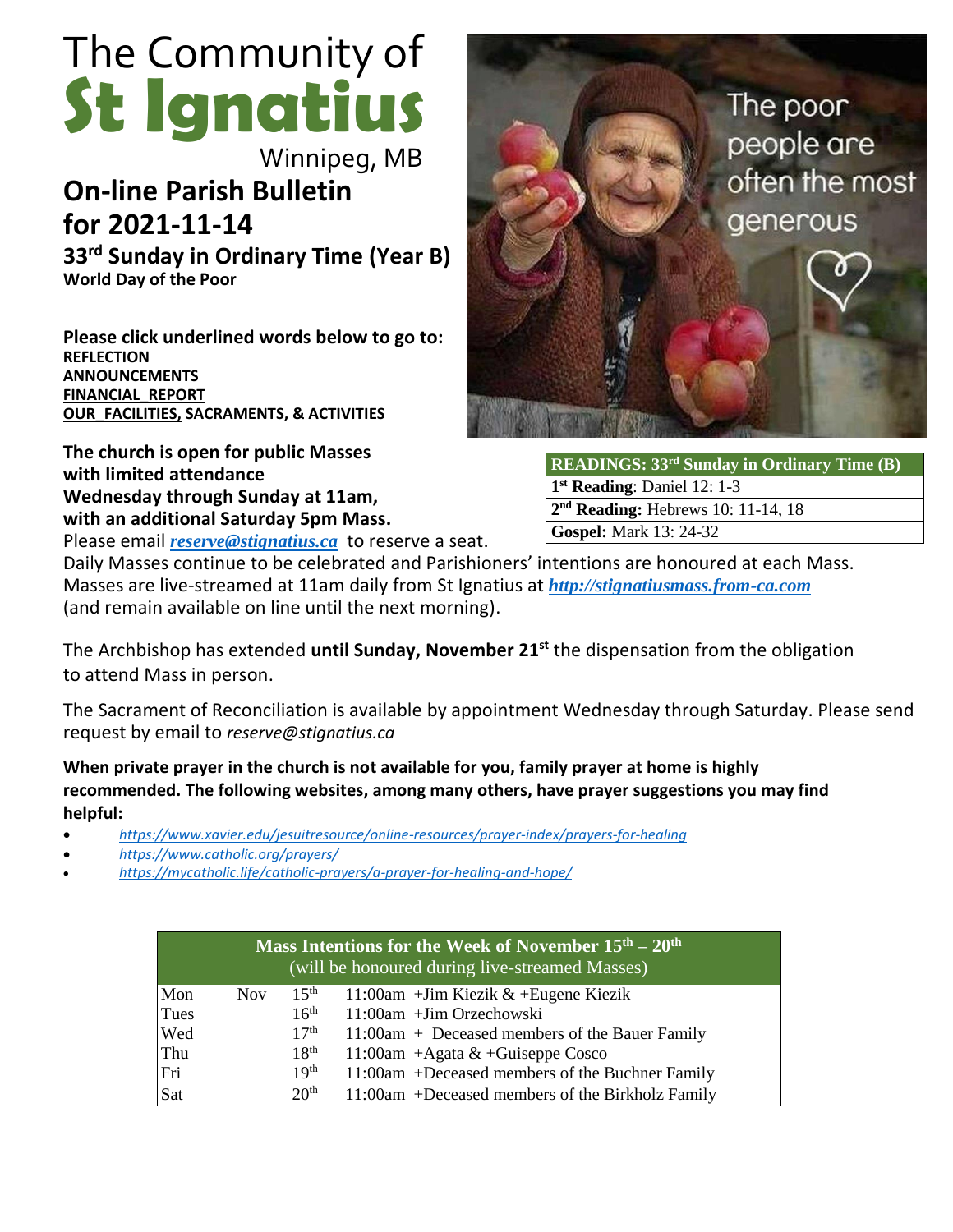# The Community of **St Ignatius**

Winnipeg, MB

# **On-line Parish Bulletin for 2021-11-14**

**33 rd Sunday in Ordinary Time (Year B) World Day of the Poor**

**Please click underlined words below to go to: [REFLECTION](#page-2-0) [ANNOUNCEMENTS](#page-1-0) [FINANCIAL\\_REPORT](#page-3-0) [OUR\\_FACILITIES,](#page-3-1) SACRAMENTS, & ACTIVITIES**

**The church is open for public Masses with limited attendance Wednesday through Sunday at 11am, with an additional Saturday 5pm Mass.** 

Please email *[reserve@stignatius.ca](mailto:reserve@stignatius.cat)* to reserve a seat.



**READINGS: 33 rd Sunday in Ordinary Time (B) 1 st Reading**: Daniel 12: 1-3 **2 nd Reading:** Hebrews 10: 11-14, 18 **Gospel:** Mark 13: 24-32

Daily Masses continue to be celebrated and Parishioners' intentions are honoured at each Mass. Masses are live-streamed at 11am daily from St Ignatius at *[http://stignatiusmass.from-ca.com](http://stignatiusmass.from-ca.com/)* (and remain available on line until the next morning).

The Archbishop has extended **until Sunday, November 21st** the dispensation from the obligation to attend Mass in person.

The Sacrament of Reconciliation is available by appointment Wednesday through Saturday. Please send request by email to *reserve@stignatius.ca*

**When private prayer in the church is not available for you, family prayer at home is highly recommended. The following websites, among many others, have prayer suggestions you may find helpful:**

- *<https://www.xavier.edu/jesuitresource/online-resources/prayer-index/prayers-for-healing>*
- *<https://www.catholic.org/prayers/>*
- *<https://mycatholic.life/catholic-prayers/a-prayer-for-healing-and-hope/>*

| Mass Intentions for the Week of November $15th - 20th$<br>(will be honoured during live-streamed Masses) |            |                  |                                                  |
|----------------------------------------------------------------------------------------------------------|------------|------------------|--------------------------------------------------|
| Mon                                                                                                      | <b>Nov</b> | $15^{\text{th}}$ | 11:00am + Jim Kiezik $&$ + Eugene Kiezik         |
| Tues                                                                                                     |            | 16 <sup>th</sup> | 11:00am +Jim Orzechowski                         |
| Wed                                                                                                      |            | 17 <sup>th</sup> | 11:00am + Deceased members of the Bauer Family   |
| Thu                                                                                                      |            | 18 <sup>th</sup> | 11:00am + Agata $&$ + Guiseppe Cosco             |
| Fri                                                                                                      |            | 19 <sup>th</sup> | 11:00am +Deceased members of the Buchner Family  |
| Sat                                                                                                      |            | 20 <sup>th</sup> | 11:00am +Deceased members of the Birkholz Family |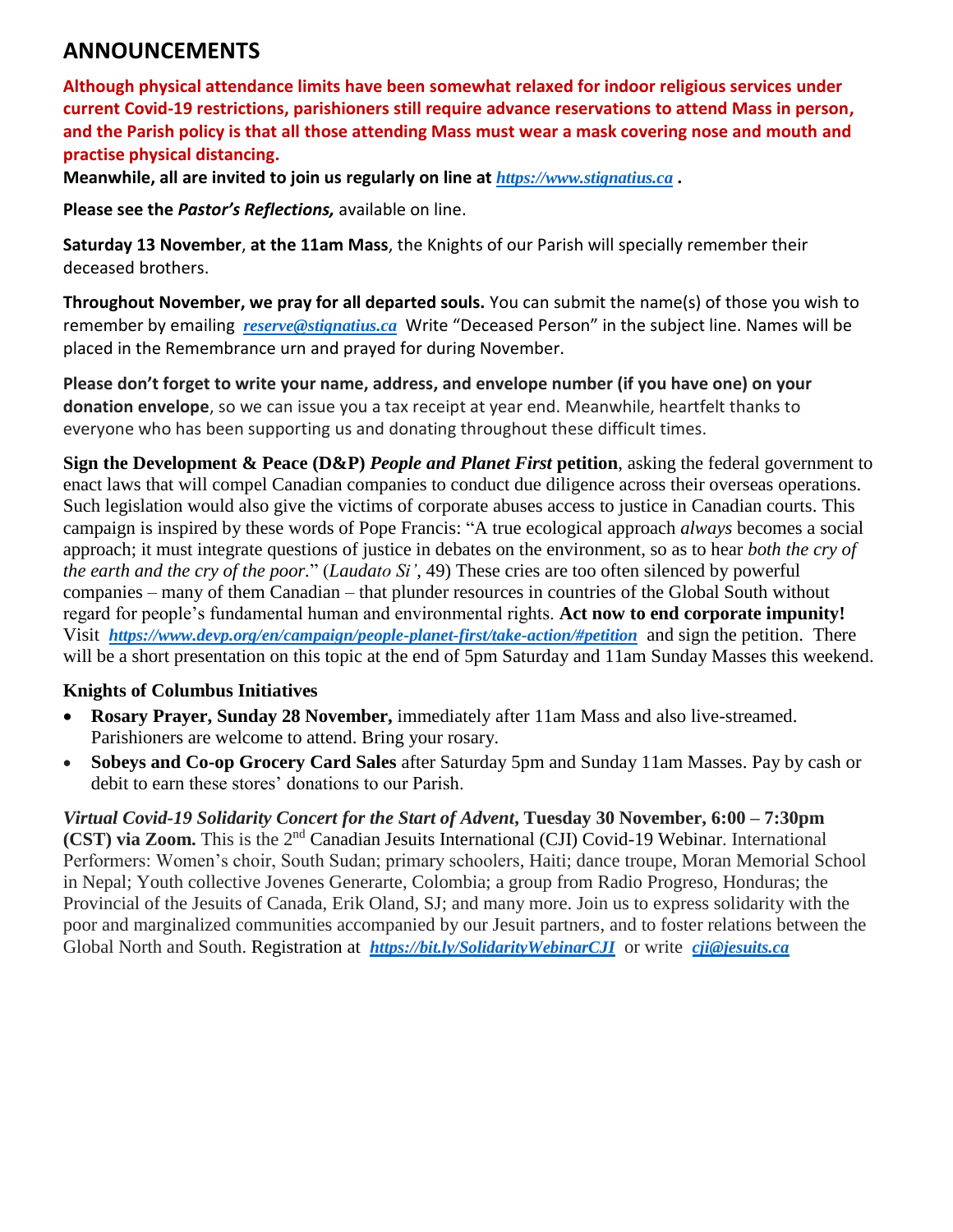# <span id="page-1-0"></span>**ANNOUNCEMENTS**

**Although physical attendance limits have been somewhat relaxed for indoor religious services under current Covid-19 restrictions, parishioners still require advance reservations to attend Mass in person, and the Parish policy is that all those attending Mass must wear a mask covering nose and mouth and practise physical distancing.**

**Meanwhile, all are invited to join us regularly on line at** *https://www.stignatius.ca* **.** 

**Please see the** *Pastor's Reflections,* available on line.

**Saturday 13 November**, **at the 11am Mass**, the Knights of our Parish will specially remember their deceased brothers.

**Throughout November, we pray for all departed souls.** You can submit the name(s) of those you wish to remember by emailing *[reserve@stignatius.ca](mailto:reserve@stignatius.ca)* Write "Deceased Person" in the subject line. Names will be placed in the Remembrance urn and prayed for during November.

**Please don't forget to write your name, address, and envelope number (if you have one) on your donation envelope**, so we can issue you a tax receipt at year end. Meanwhile, heartfelt thanks to everyone who has been supporting us and donating throughout these difficult times.

**Sign the Development & Peace (D&P)** *People and Planet First* **petition**, asking the federal government to enact laws that will compel Canadian companies to conduct due diligence across their overseas operations. Such legislation would also give the victims of corporate abuses access to justice in Canadian courts. This campaign is inspired by these words of Pope Francis: "A true ecological approach *always* becomes a social approach; it must integrate questions of justice in debates on the environment, so as to hear *both the cry of the earth and the cry of the poor.*" (*Laudato Si'*, 49) These cries are too often silenced by powerful companies – many of them Canadian – that plunder resources in countries of the Global South without regard for people's fundamental human and environmental rights. **Act now to end corporate impunity!** Visit *https://www.devp.org/en/campaign/people-planet-first/take-action/#petition* and sign the petition. There will be a short presentation on this topic at the end of 5pm Saturday and 11am Sunday Masses this weekend.

# **Knights of Columbus Initiatives**

- **Rosary Prayer, Sunday 28 November,** immediately after 11am Mass and also live-streamed. Parishioners are welcome to attend. Bring your rosary.
- **Sobeys and Co-op Grocery Card Sales** after Saturday 5pm and Sunday 11am Masses. Pay by cash or debit to earn these stores' donations to our Parish.

*Virtual Covid-19 Solidarity Concert for the Start of Advent***, Tuesday 30 November, 6:00 – 7:30pm (CST) via Zoom.** This is the 2nd Canadian Jesuits International (CJI) Covid-19 Webinar. International Performers: Women's choir, South Sudan; primary schoolers, Haiti; dance troupe, Moran Memorial School in Nepal; Youth collective Jovenes Generarte, Colombia; a group from Radio Progreso, Honduras; the Provincial of the Jesuits of Canada, Erik Oland, SJ; and many more. Join us to express solidarity with the poor and marginalized communities accompanied by our Jesuit partners, and to foster relations between the Global North and South. Registration at *<https://bit.ly/SolidarityWebinarCJI>* or write *[cji@jesuits.ca](mailto:cji@jesuits.ca)*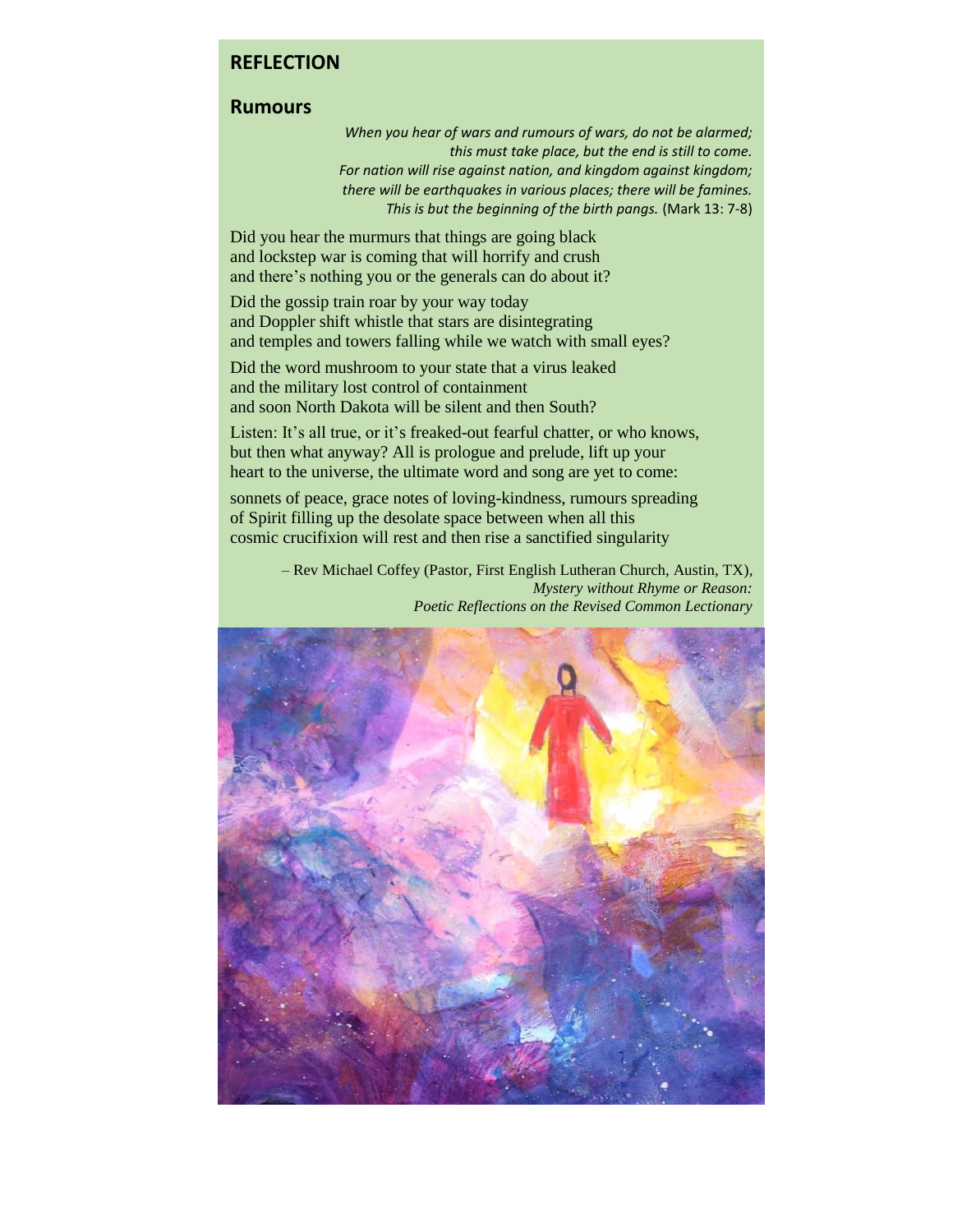# <span id="page-2-0"></span>**REFLECTION**

### **Rumours**

*When you hear of wars and rumours of wars, do not be alarmed; this must take place, but the end is still to come. For nation will rise against nation, and kingdom against kingdom; there will be earthquakes in various places; there will be famines. This is but the beginning of the birth pangs.* (Mark 13: 7-8)

Did you hear the murmurs that things are going black and lockstep war is coming that will horrify and crush and there's nothing you or the generals can do about it?

Did the gossip train roar by your way today and Doppler shift whistle that stars are disintegrating and temples and towers falling while we watch with small eyes?

Did the word mushroom to your state that a virus leaked and the military lost control of containment and soon North Dakota will be silent and then South?

Listen: It's all true, or it's freaked-out fearful chatter, or who knows, but then what anyway? All is prologue and prelude, lift up your heart to the universe, the ultimate word and song are yet to come:

sonnets of peace, grace notes of loving-kindness, rumours spreading of Spirit filling up the desolate space between when all this cosmic crucifixion will rest and then rise a sanctified singularity

> – Rev Michael Coffey (Pastor, First English Lutheran Church, Austin, TX), *Mystery without Rhyme or Reason: Poetic Reflections on the Revised Common Lectionary*